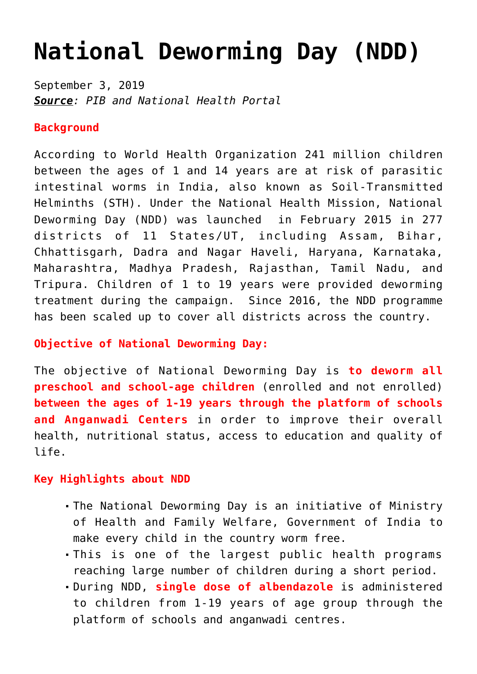# **[National Deworming Day \(NDD\)](https://journalsofindia.com/national-deworming-day-ndd/)**

September 3, 2019 *Source: PIB and National Health Portal*

### **Background**

According to World Health Organization 241 million children between the ages of 1 and 14 years are at risk of parasitic intestinal worms in India, also known as Soil-Transmitted Helminths (STH). Under the National Health Mission, National Deworming Day (NDD) was launched in February 2015 in 277 districts of 11 States/UT, including Assam, Bihar, Chhattisgarh, Dadra and Nagar Haveli, Haryana, Karnataka, Maharashtra, Madhya Pradesh, Rajasthan, Tamil Nadu, and Tripura. Children of 1 to 19 years were provided deworming treatment during the campaign. Since 2016, the NDD programme has been scaled up to cover all districts across the country.

# **Objective of National Deworming Day:**

The objective of National Deworming Day is **to deworm all preschool and school-age children** (enrolled and not enrolled) **between the ages of 1-19 years through the platform of schools and Anganwadi Centers** in order to improve their overall health, nutritional status, access to education and quality of life.

#### **Key Highlights about NDD**

- The National Deworming Day is an initiative of Ministry of Health and Family Welfare, Government of India to make every child in the country worm free.
- This is one of the largest public health programs reaching large number of children during a short period.
- During NDD, **single dose of albendazole** is administered to children from 1-19 years of age group through the platform of schools and anganwadi centres.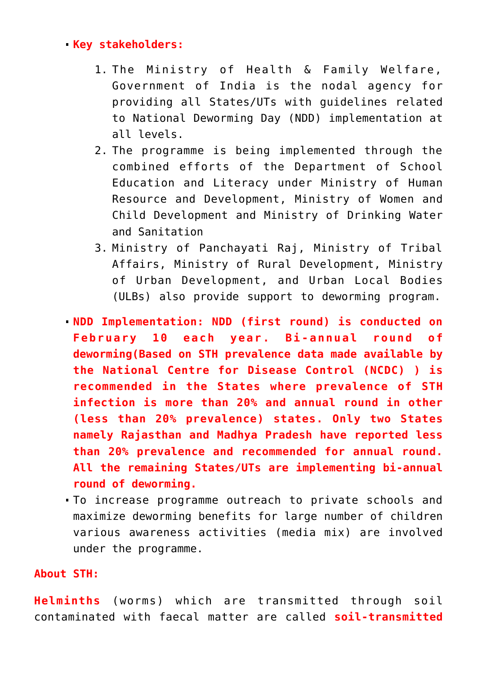# **Key stakeholders:**

- 1. The Ministry of Health & Family Welfare, Government of India is the nodal agency for providing all States/UTs with guidelines related to National Deworming Day (NDD) implementation at all levels.
- 2. The programme is being implemented through the combined efforts of the Department of School Education and Literacy under Ministry of Human Resource and Development, Ministry of Women and Child Development and Ministry of Drinking Water and Sanitation
- 3. Ministry of Panchayati Raj, Ministry of Tribal Affairs, Ministry of Rural Development, Ministry of Urban Development, and Urban Local Bodies (ULBs) also provide support to deworming program.
- **NDD Implementation: NDD (first round) is conducted on February 10 each year. Bi-annual round of deworming(Based on STH prevalence data made available by the National Centre for Disease Control (NCDC) ) is recommended in the States where prevalence of STH infection is more than 20% and annual round in other (less than 20% prevalence) states. Only two States namely Rajasthan and Madhya Pradesh have reported less than 20% prevalence and recommended for annual round. All the remaining States/UTs are implementing bi-annual round of deworming.**
- To increase programme outreach to private schools and maximize deworming benefits for large number of children various awareness activities (media mix) are involved under the programme.

# **About STH:**

**Helminths** (worms) which are transmitted through soil contaminated with faecal matter are called **soil-transmitted**